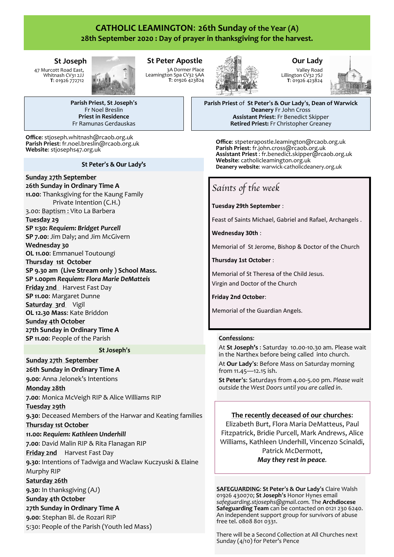# **CATHOLIC LEAMINGTON**: **26th Sunday of the Year (A) 28th September 2020 : Day of prayer in thanksgiving for the harvest.**

# **St Joseph**

47 Murcott Road East, Whitnash CV31 2JJ **T**: 01926 772712



**Parish Priest**, **St Joseph**'**s** Fr Noel Breslin **Priest in Residence** Fr Ramunas Gerdauskas

**Office**: stjoseph.whitnash@rcaob.org.uk **Parish Priest**: fr.noel.breslin@rcaob.org.uk **Website**: stjosephs47.org.uk

# St Peter's & Our Lady's

# **Sunday 27th September**

**26th Sunday in Ordinary Time A 11.00**: Thanksgiving for the Kaung Family Private Intention (C.H.)

3.00: Baptism : Vito La Barbera **Tuesday 29** 

**SP 1:30:** *Requiem: Bridget Purcell* **SP 7.00**: Jim Daly; and Jim McGivern **Wednesday 30** 

**OL 11.00**: Emmanuel Toutoungi

**Thursday 1st October**

**SP 9.30 am (Live Stream only ) School Mass. SP 1.00pm** *Requiem: Flora Marie DeMatteis* **Friday 2nd** Harvest Fast Day **SP 11.00**: Margaret Dunne **Saturday 3rd** Vigil **OL 12.30 Mass**: Kate Briddon **Sunday 4th October**

**27th Sunday in Ordinary Time A SP 11.00**: People of the Parish

# St Joseph's

**Sunday 27th September 26th Sunday in Ordinary Time A 9.00**: Anna Jelonek's Intentions

# **Monday 28th**

**7.00**: Monica McVeigh RIP & Alice Williams RIP

#### **Tuesday 29th**

**9.30**: Deceased Members of the Harwar and Keating families **Thursday 1st October**

**11.00:** *Requiem: Kathleen Underhill* **7.00**: David Malin RIP & Rita Flanagan RIP

**Friday 2nd** Harvest Fast Day

**9.30**: Intentions of Tadwiga and Waclaw Kuczyuski & Elaine Murphy RIP

# **Saturday 26th**

**9.30**: In thanksgiving (AJ)

# **Sunday 4th October**

**27th Sunday in Ordinary Time A 9.00**: Stephan Bl. de Rozari RIP 5:30: People of the Parish (Youth led Mass)

#### **St Peter Apostle** 3A Dormer Place Leamington Spa CV32 5AA **T**: 01926 423824



# **Our Lady** Valley Road

Lillington CV32 7SJ **T**: 01926 423824



**Parish Priest** of **St Peter**'**s & Our Lady**'**s**, **Dean of Warwick Deanery** Fr John Cross **Assistant Priest**: Fr Benedict Skipper **Retired Priest:** Fr Christopher Greaney

**Office**: stpeterapostle.leamington@rcaob.org.uk **Parish Priest**: fr.john.cross@rcaob.org.uk **Assistant Priest** : fr.benedict.skipper@rcaob.org.uk Website: catholicleamington.org.uk **Deanery website**: warwick-[catholicdeanery.org.uk](https://eur01.safelinks.protection.outlook.com/?url=http%3A%2F%2Fwarwick-catholicdeanery.org.uk%2Fnewsletter-sign-up%2F&data=02%7C01%7C%7C721285f1bfe64a92393d08d7a351cd53%7C84df9e7fe9f640afb435aaaaaaaaaaaa%7C1%7C0%7C637157444038479073&sdata=wJyzCzyquvWm6KYBMn)

# *Saints of the week*

**Tuesday 29th September** :

Feast of Saints Michael, Gabriel and Rafael, Archangels .

**Wednesday 30th** :

Memorial of St Jerome, Bishop & Doctor of the Church

**Thursday 1st October** :

Memorial of St Theresa of the Child Jesus. Virgin and Doctor of the Church

**Friday 2nd October**:

Memorial of the Guardian Angels.

# **Confessions**:

At **St Joseph's** : Saturday 10.00-10.30 am. Please wait in the Narthex before being called into church.

At **Our Lady**'**s**: Before Mass on Saturday morning from 11.45—12.15 ish.

**St Peter**'**s**: Saturdays from 4.00-5.00 pm. *Please wait outside the West Doors until you are called in*.

# **The recently deceased of our churches**:

Elizabeth Burt, Flora Maria DeMatteus, Paul Fitzpatrick, Bridie Purcell, Mark Andrews, Alice Williams, Kathleen Underhill, Vincenzo Scinaldi, Patrick McDermott, *May they rest in peace.*

**SAFEGUARDING**: **St Peter**'**s & Our Lady**'**s** Claire Walsh 01926 430070; **St Joseph**'**s** Honor Hynes email *safeguarding.stjosephs@gmail.com.* The **Archdiocese Safeguarding Team** can be contacted on 0121 230 6240. An independent support group for survivors of abuse free tel. 0808 801 0331.

There will be a Second Collection at All Churches next Sunday (4/10) for Peter's Pence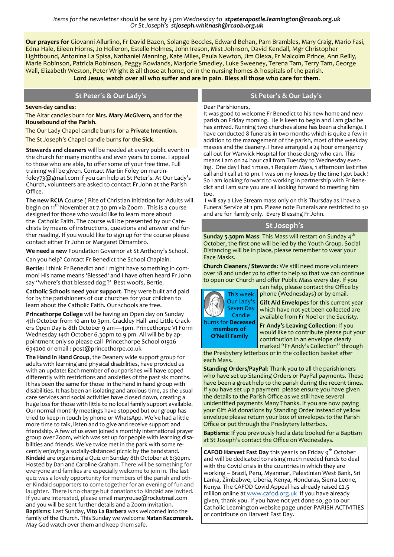*Items for the newsletter should be sent by 3 pm Wednesday to stpeterapostle.leamington@rcaob.org.uk Or St Joseph's stjoseph.whitnash@rcaob.org.uk* 

**Our prayers for** Giovanni Allurlino, Fr David Bazen, Solange Beccles, Edward Behan, Pam Brambles, Mary Craig, Mario Fasi, Edna Hale, Eileen Hiorns, Jo Holleron, Estelle Holmes, John Ireson, Mist Johnson, David Kendall, Mgr Christopher Lightbound, Antonina La Spisa, Nathaniel Manning, Kate Miles, Paula Newton, Jim Olexa, Fr Malcolm Prince, Ann Reilly, Marie Robinson, Patricia Robinson, Peggy Rowlands, Marjorie Smedley, Luke Sweeney, Terena Tam, Terry Tam, George Wall, Elizabeth Weston, Peter Wright & all those at home, or in the nursing homes & hospitals of the parish. **Lord Jesus**, **watch over all who suffer and are in pain**. **Bless all those who care for them**.

| St Peter's & Our Lady's                                                                                        | St Peter's & Our Lady's                                                                                                                                                                                                                                                                                                                                   |
|----------------------------------------------------------------------------------------------------------------|-----------------------------------------------------------------------------------------------------------------------------------------------------------------------------------------------------------------------------------------------------------------------------------------------------------------------------------------------------------|
| Seven-day candles:<br>The Altar candles burn for Mrs. Mary McGivern, and for the<br>Housebound of the Parish.  | Dear Parishioners,<br>It was good to welcome Fr Benedict to his new home and new<br>parish on Friday morning. He is keen to begin and I am glad he<br>has arrived. Running two churches alone has been a challenge. I<br>have conducted 8 funerals in two months which is quite a few in<br>addition to the management of the parish, most of the weekday |
| The Our Lady Chapel candle burns for a Private Intention.<br>The St Joseph's Chapel candle burns for the Sick. |                                                                                                                                                                                                                                                                                                                                                           |

**Stewards and cleaners** will be needed at every public event in the church for many months and even years to come. I appeal to those who are able, to offer some of your free time. Full training will be given. Contact Martin Foley on martinfoley73@gmail.com if you can help at St Peter's. At Our Lady's Church, volunteers are asked to contact Fr John at the Parish Office.

**The new RCIA** Course ( Rite of Christian Initiation for Adults will begin on 11<sup>th</sup> November at 7.30 pm via Zoom . This is a course designed for those who would like to learn more about the Catholic Faith. The course will be presented by our Catechists by means of instructions, questions and answer and further reading. If you would like to sign up for the course please contact either Fr John or Margaret Dimambro.

**We need a new** Foundation Governor at St Anthony's School.

Can you help? Contact Fr Benedict the School Chaplain.

**Bertie:** I think Fr Benedict and I might have something in common! His name means 'Blessed' and I have often heard Fr John say "where's that blessed dog ?' Best woofs, Bertie.

**Catholic Schools need your support**. They were built and paid for by the parishioners of our churches for your children to learn about the Catholic Faith. Our schools are free.

**Princethorpe College** will be having an Open day on Sunday 4th October from 10 am to 3pm. Crackley Hall and Little Crackers Open Day is 8th October 9 am—4pm. Princethorpe VI Form Wednesday 14th October 6.30pm to 9 pm. All will be by appointment only so please call Princethorpe School 01926 634200 or email : post@princethorpe.co.uk

**The Hand in Hand Group**, the Deanery wide support group for adults with learning and physical disabilities, have provided us with an update: Each member of our parishes will have coped differently with restrictions and anxieties of the past six months. It has been the same for those in the hand in hand group with disabilities. It has been an isolating and anxious time, as the usual care services and social activities have closed down, creating a huge loss for those with little to no local family support available. Our normal monthly meetings have stopped but our group has tried to keep in touch by phone or WhatsApp. We've had a little more time to talk, listen and to give and receive support and friendship. A few of us even joined s monthly international prayer group over Zoom, which was set up for people with learning disabilities and friends. We've twice met in the park with some recently enjoying a socially-distanced picnic by the bandstand. **Kindaid** are organising a Quiz on Sunday 8th October at 6:30pm. Hosted by Dan and Caroline Graham. There will be something for everyone and families are especially welcome to join in. The last quiz was a lovely opportunity for members of the parish and other Kindaid supporters to come together for an evening of fun and laughter. There is no charge but donations to Kindaid are invited. If you are interested, please email maryrouse@rocketmail.com and you will be sent further details and a Zoom invitation. **Baptisms**: Last Sunday, **Vito La Barbera** was welcomed into the family of the Church. This Sunday we welcome **Natan Kaczmarek**. May God watch over them and keep them safe.

addition to the management of the parish, most of the weekday masses and the deanery. I have arranged a 24 hour emergency call out for Warwick Hospital for those clergy who can. This means I am on 24 hour call from Tuesday to Wednesday evening. One day I had 1 mass, 1 Requiem Mass, 1 afternoon last rites call and 1 call at 10 pm. I was on my knees by the time I got back ! So I am looking forward to working in partnership with Fr Benedict and I am sure you are all looking forward to meeting him too.

I will say a Live Stream mass only on this Thursday as I have a Funeral Service at 1 pm. Please note Funerals are restricted to 30 and are for family only. Every Blessing Fr John.

#### **St Joseph**'**s**

**Sunday 5.30pm Mass:** This Mass will restart on Sunday 4<sup>th</sup> October, the first one will be led by the Youth Group. Social Distancing will be in place, please remember to wear your Face Masks.

**Church Cleaners / Stewards**: We still need more volunteers over 18 and under 70 to offer to help so that we can continue to open our Church and offer Public Mass every day. If you



can help, please contact the Office by phone (Wednesdays) or by email.

**Gift Aid Envelopes** for this current year which have not yet been collected are available from Fr Noel or the Sacristy.

**Fr Andy's Leaving Collection**: If you would like to contribute please put your contribution in an envelope clearly marked "Fr Andy's Collection" through

the Presbytery letterbox or in the collection basket after each Mass.

**Standing Orders/PayPal**: Thank you to all the parishioners who have set up Standing Orders or PayPal payments. These have been a great help to the parish during the recent times. If you have set up a payment please ensure you have given the details to the Parish Office as we still have several unidentified payments Many Thanks. If you are now paying your Gift Aid donations by Standing Order instead of yellow envelope please return your box of envelopes to the Parish Office or put through the Presbytery letterbox.

**Baptisms**: If you previously had a date booked for a Baptism at St Joseph's contact the Office on Wednesdays.

**CAFOD Harvest Fast Day** this year is on Friday 9<sup>th</sup> October and will be dedicated to raising much needed funds to deal with the Covid crisis in the countries in which they are working – Brazil, Peru, Myanmar, Palestinian West Bank, Sri Lanka, Zimbabwe, Liberia, Kenya, Honduras, Sierra Leone, Kenya. The CAFOD Covid Appeal has already raised £2.5 million online at [www.cafod.org.uk](http://www.cafod.org.uk/) If you have already given, thank you. If you have not yet done so, go to our Catholic Leamington website page under PARISH ACTIVITIES or contribute on Harvest Fast Day.